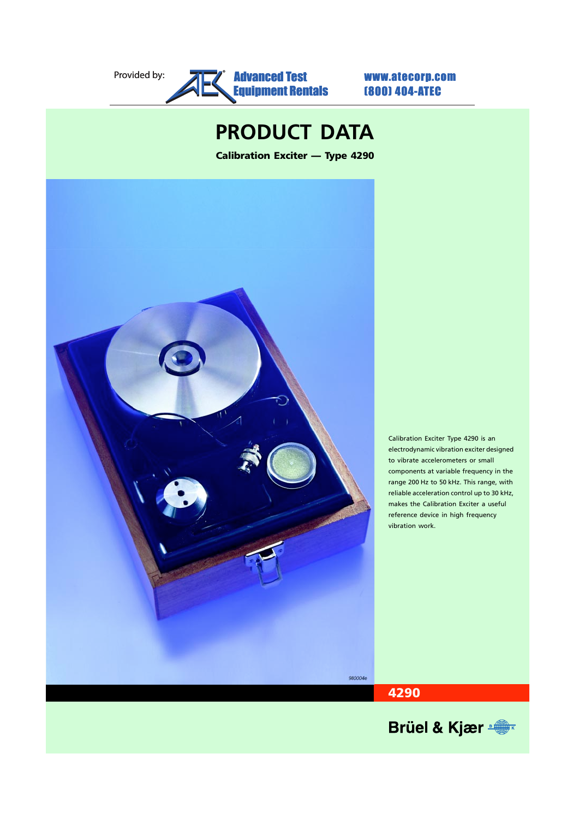#### Provided by: **Advanced Test WWW.atecorp.com** [Equipment Rentals](www.atecorp.com) ®

(800) 404-ATEC

# **PRODUCT DATA**

**Calibration Exciter — Type 4290**



Calibration Exciter Type 4290 is an electrodynamic vibration exciter designed to vibrate accelerometers or small components at variable frequency in the range 200 Hz to 50 kHz. This range, with reliable acceleration control up to 30 kHz, makes the Calibration Exciter a useful reference device in high frequency vibration work.



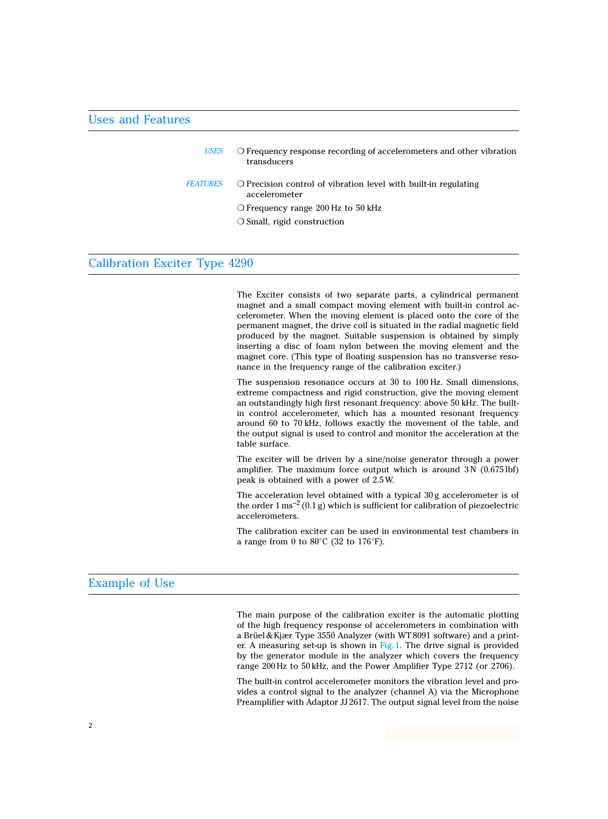#### Uses and Features

| <b>USES</b>     | O Frequency response recording of accelerometers and other vibration<br>transducers       |
|-----------------|-------------------------------------------------------------------------------------------|
| <b>FEATURES</b> | $\bigcirc$ Precision control of vibration level with built-in regulating<br>accelerometer |
|                 | $\circ$ Frequency range 200 Hz to 50 kHz                                                  |
|                 | $\bigcirc$ Small, rigid construction                                                      |
|                 |                                                                                           |

### Calibration Exciter Type 4290

The Exciter consists of two separate parts, a cylindrical permanent magnet and a small compact moving element with built-in control accelerometer. When the moving element is placed onto the core of the permanent magnet, the drive coil is situated in the radial magnetic field produced by the magnet. Suitable suspension is obtained by simply inserting a disc of foam nylon between the moving element and the magnet core. (This type of floating suspension has no transverse resonance in the frequency range of the calibration exciter.)

The suspension resonance occurs at 30 to 100 Hz. Small dimensions, extreme compactness and rigid construction, give the moving element an outstandingly high first resonant frequency: above 50 kHz. The builtin control accelerometer, which has a mounted resonant frequency around 60 to 70 kHz, follows exactly the movement of the table, and the output signal is used to control and monitor the acceleration at the table surface.

The exciter will be driven by a sine/noise generator through a power amplifier. The maximum force output which is around  $3N(0.6751bf)$ peak is obtained with a power of 2.5 W.

The acceleration level obtained with a typical 30 g accelerometer is of the order  $1 \text{ ms}^{-2}$  (0.1 g) which is sufficient for calibration of piezoelectric accelerometers.

The calibration exciter can be used in environmental test chambers in a range from 0 to 80°C (32 to 176°F).

#### Example of Use

The main purpose of the calibration exciter is the automatic plotting of the high frequency response of accelerometers in combination with a Brüel & Kjær Type 3550 Analyzer (with WT 8091 software) and a printer. A measuring set-up is shown in [Fig. 1](#page-2-0). The drive signal is provided by the generator module in the analyzer which covers the frequency range 200 Hz to 50 kHz, and the Power Amplifier Type 2712 (or 2706).

The built-in control accelerometer monitors the vibration level and provides a control signal to the analyzer (channel A) via the Microphone Preamplifier with Adaptor JJ 2617. The output signal level from the noise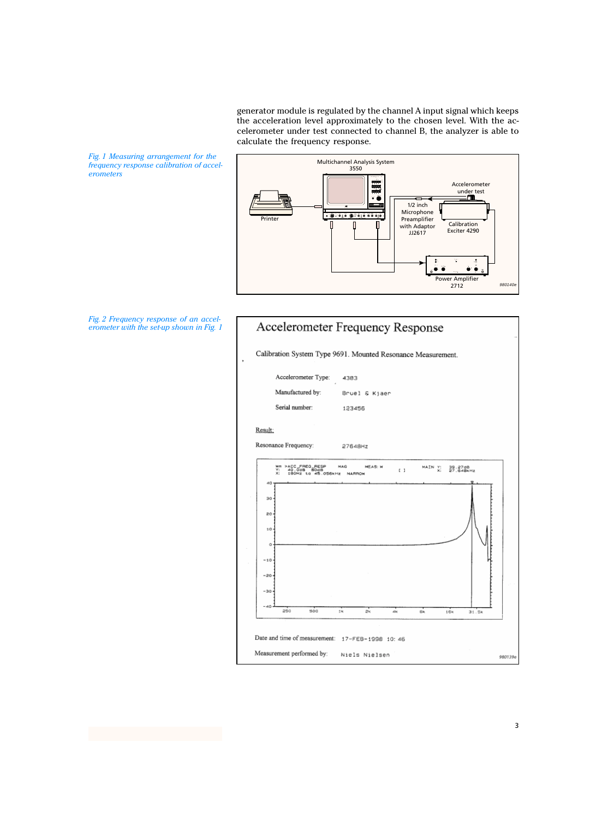generator module is regulated by the channel A input signal which keeps the acceleration level approximately to the chosen level. With the accelerometer under test connected to channel B, the analyzer is able to calculate the frequency response.

<span id="page-2-0"></span>*Fig. 1 Measuring arrangement for the frequency response calibration of accelerometers*





*Fig. 2 Frequency response of an accelerometer with the set-up shown in Fig. 1*